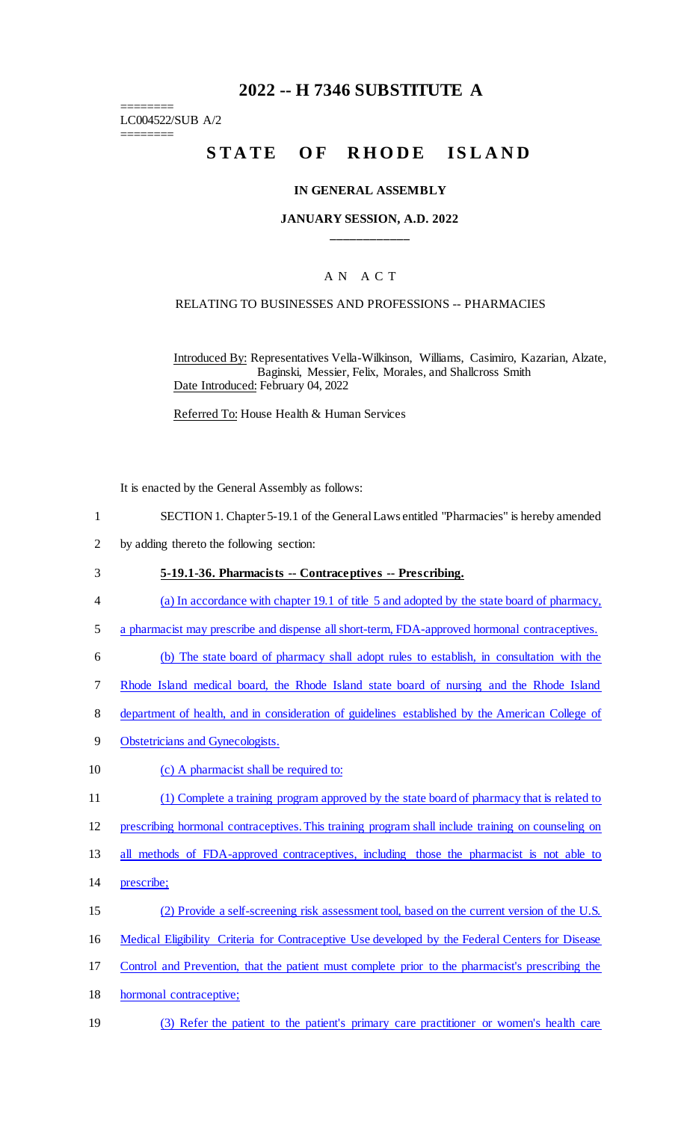## **2022 -- H 7346 SUBSTITUTE A**

======== LC004522/SUB A/2 ========

# STATE OF RHODE ISLAND

#### **IN GENERAL ASSEMBLY**

#### **JANUARY SESSION, A.D. 2022 \_\_\_\_\_\_\_\_\_\_\_\_**

#### A N A C T

#### RELATING TO BUSINESSES AND PROFESSIONS -- PHARMACIES

Introduced By: Representatives Vella-Wilkinson, Williams, Casimiro, Kazarian, Alzate, Baginski, Messier, Felix, Morales, and Shallcross Smith Date Introduced: February 04, 2022

Referred To: House Health & Human Services

It is enacted by the General Assembly as follows:

- 1 SECTION 1. Chapter 5-19.1 of the General Laws entitled "Pharmacies" is hereby amended
- 2 by adding thereto the following section:
- 3 **5-19.1-36. Pharmacists -- Contraceptives -- Prescribing.**
- 4 (a) In accordance with chapter 19.1 of title 5 and adopted by the state board of pharmacy,
- 5 a pharmacist may prescribe and dispense all short-term, FDA-approved hormonal contraceptives.
- 6 (b) The state board of pharmacy shall adopt rules to establish, in consultation with the
- 7 Rhode Island medical board, the Rhode Island state board of nursing and the Rhode Island
- 8 department of health, and in consideration of guidelines established by the American College of
- 9 Obstetricians and Gynecologists.
- 10 (c) A pharmacist shall be required to:
- 11 (1) Complete a training program approved by the state board of pharmacy that is related to
- 12 prescribing hormonal contraceptives. This training program shall include training on counseling on
- 13 all methods of FDA-approved contraceptives, including those the pharmacist is not able to
- 14 prescribe;
- 15 (2) Provide a self-screening risk assessment tool, based on the current version of the U.S.
- 16 Medical Eligibility Criteria for Contraceptive Use developed by the Federal Centers for Disease
- 17 Control and Prevention, that the patient must complete prior to the pharmacist's prescribing the
- 18 hormonal contraceptive;
- 19 (3) Refer the patient to the patient's primary care practitioner or women's health care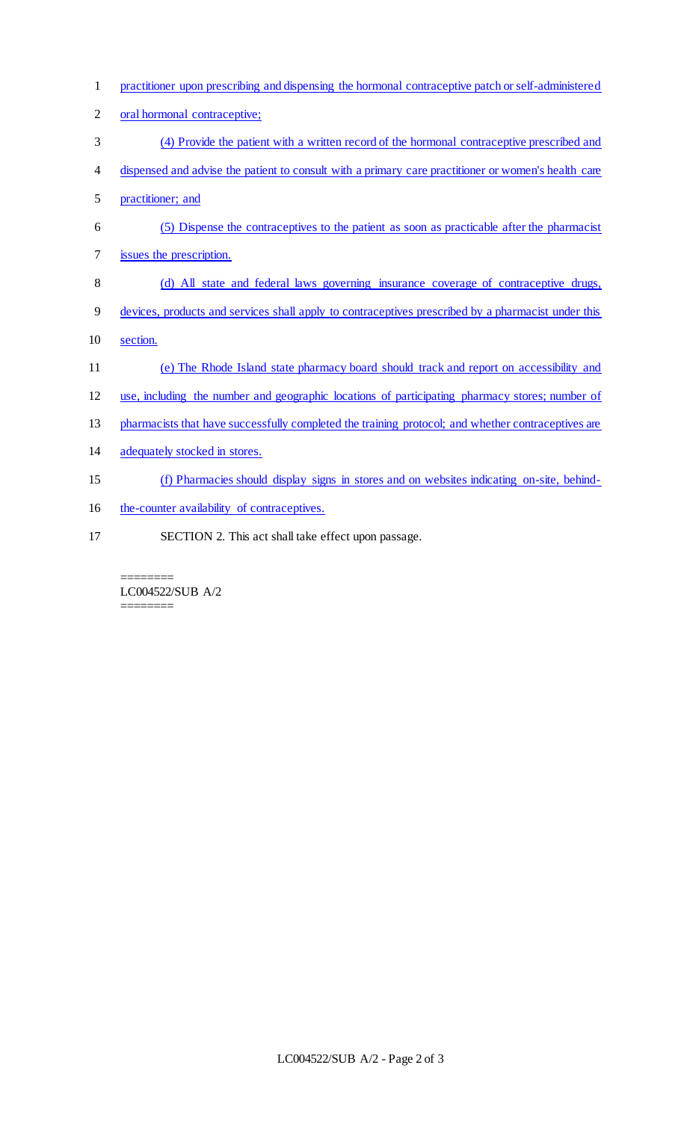- practitioner upon prescribing and dispensing the hormonal contraceptive patch or self-administered
- 2 oral hormonal contraceptive;
- (4) Provide the patient with a written record of the hormonal contraceptive prescribed and
- dispensed and advise the patient to consult with a primary care practitioner or women's health care
- practitioner; and
- (5) Dispense the contraceptives to the patient as soon as practicable after the pharmacist
- issues the prescription.
- 8 (d) All state and federal laws governing insurance coverage of contraceptive drugs,
- devices, products and services shall apply to contraceptives prescribed by a pharmacist under this
- section.
- (e) The Rhode Island state pharmacy board should track and report on accessibility and
- use, including the number and geographic locations of participating pharmacy stores; number of
- 13 pharmacists that have successfully completed the training protocol; and whether contraceptives are
- adequately stocked in stores.
- (f) Pharmacies should display signs in stores and on websites indicating on-site, behind-
- 16 the-counter availability of contraceptives.
- SECTION 2. This act shall take effect upon passage.
	- ======== LC004522/SUB A/2 ========